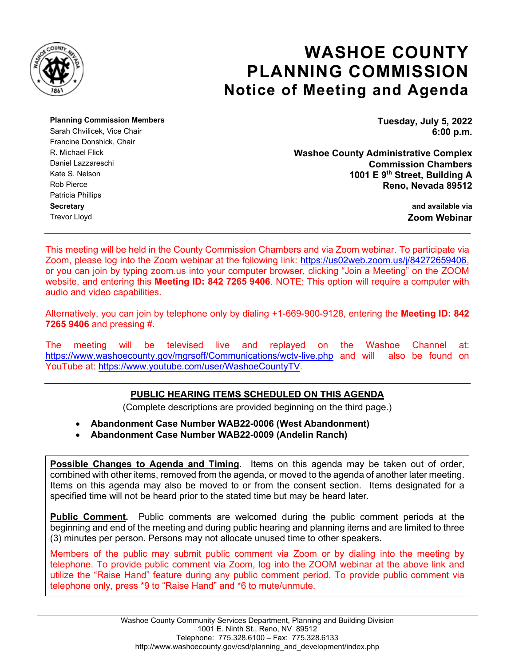

# **WASHOE COUNTY PLANNING COMMISSION Notice of Meeting and Agenda**

**Planning Commission Members Tuesday, July 5, 2022**

Francine Donshick, Chair Patricia Phillips **Secretary and available via** Trevor Lloyd **Zoom Webinar**

Sarah Chvilicek, Vice Chair **6:00 p.m. 6:00 p.m.** 

R. Michael Flick **Washoe County Administrative Complex** Daniel Lazzareschi **Commission Chambers** Kate S. Nelson **1001 E 9th Street, Building A** Reno, Nevada 89512

This meeting will be held in the County Commission Chambers and via Zoom webinar. To participate via Zoom, please log into the Zoom webinar at the following link: [https://us02web.zoom.us/j/84272659406,](https://us02web.zoom.us/j/84272659406) or you can join by typing zoom.us into your computer browser, clicking "Join a Meeting" on the ZOOM website, and entering this **Meeting ID: 842 7265 9406**. NOTE: This option will require a computer with audio and video capabilities.

Alternatively, you can join by telephone only by dialing +1-669-900-9128, entering the **Meeting ID: 842 7265 9406** and pressing #.

The meeting will be televised live and replayed on the Washoe Channel at: <https://www.washoecounty.gov/mgrsoff/Communications/wctv-live.php> and will also be found on YouTube at: [https://www.youtube.com/user/WashoeCountyTV.](https://www.youtube.com/user/WashoeCountyTV)

# **PUBLIC HEARING ITEMS SCHEDULED ON THIS AGENDA**

(Complete descriptions are provided beginning on the third page.)

• **Abandonment Case Number WAB22-0006 (West Abandonment)**

• **Abandonment Case Number WAB22-0009 (Andelin Ranch)**

**Possible Changes to Agenda and Timing**. Items on this agenda may be taken out of order, combined with other items, removed from the agenda, or moved to the agenda of another later meeting. Items on this agenda may also be moved to or from the consent section. Items designated for a specified time will not be heard prior to the stated time but may be heard later.

**Public Comment.** Public comments are welcomed during the public comment periods at the beginning and end of the meeting and during public hearing and planning items and are limited to three (3) minutes per person. Persons may not allocate unused time to other speakers.

Members of the public may submit public comment via Zoom or by dialing into the meeting by telephone. To provide public comment via Zoom, log into the ZOOM webinar at the above link and utilize the "Raise Hand" feature during any public comment period. To provide public comment via telephone only, press \*9 to "Raise Hand" and \*6 to mute/unmute.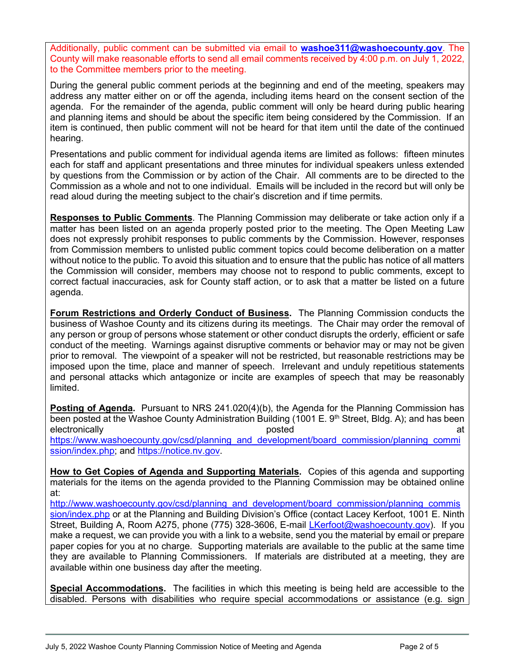Additionally, public comment can be submitted via email to **[washoe311@washoecounty.gov](mailto:washoe311@washoecounty.gov)**. The County will make reasonable efforts to send all email comments received by 4:00 p.m. on July 1, 2022, to the Committee members prior to the meeting.

During the general public comment periods at the beginning and end of the meeting, speakers may address any matter either on or off the agenda, including items heard on the consent section of the agenda. For the remainder of the agenda, public comment will only be heard during public hearing and planning items and should be about the specific item being considered by the Commission. If an item is continued, then public comment will not be heard for that item until the date of the continued hearing.

Presentations and public comment for individual agenda items are limited as follows: fifteen minutes each for staff and applicant presentations and three minutes for individual speakers unless extended by questions from the Commission or by action of the Chair. All comments are to be directed to the Commission as a whole and not to one individual. Emails will be included in the record but will only be read aloud during the meeting subject to the chair's discretion and if time permits.

**Responses to Public Comments**. The Planning Commission may deliberate or take action only if a matter has been listed on an agenda properly posted prior to the meeting. The Open Meeting Law does not expressly prohibit responses to public comments by the Commission. However, responses from Commission members to unlisted public comment topics could become deliberation on a matter without notice to the public. To avoid this situation and to ensure that the public has notice of all matters the Commission will consider, members may choose not to respond to public comments, except to correct factual inaccuracies, ask for County staff action, or to ask that a matter be listed on a future agenda.

**Forum Restrictions and Orderly Conduct of Business.** The Planning Commission conducts the business of Washoe County and its citizens during its meetings. The Chair may order the removal of any person or group of persons whose statement or other conduct disrupts the orderly, efficient or safe conduct of the meeting. Warnings against disruptive comments or behavior may or may not be given prior to removal. The viewpoint of a speaker will not be restricted, but reasonable restrictions may be imposed upon the time, place and manner of speech. Irrelevant and unduly repetitious statements and personal attacks which antagonize or incite are examples of speech that may be reasonably limited.

**Posting of Agenda.** Pursuant to NRS 241.020(4)(b), the Agenda for the Planning Commission has been posted at the Washoe County Administration Building (1001 E. 9<sup>th</sup> Street, Bldg. A); and has been electronically and the control of the posted at the posted at the control of the control of the control of the control of the control of the control of the control of the control of the control of the control of the contro [https://www.washoecounty.gov/csd/planning\\_and\\_development/board\\_commission/planning\\_commi](https://www.washoecounty.gov/csd/planning_and_development/board_commission/planning_commission/index.php) [ssion/index.php;](https://www.washoecounty.gov/csd/planning_and_development/board_commission/planning_commission/index.php) and [https://notice.nv.gov.](https://notice.nv.gov/)

**How to Get Copies of Agenda and Supporting Materials.** Copies of this agenda and supporting materials for the items on the agenda provided to the Planning Commission may be obtained online at:

[http://www.washoecounty.gov/csd/planning\\_and\\_development/board\\_commission/planning\\_commis](http://www.washoecounty.gov/csd/planning_and_development/board_commission/planning_commission/index.php) [sion/index.php](http://www.washoecounty.gov/csd/planning_and_development/board_commission/planning_commission/index.php) or at the Planning and Building Division's Office (contact Lacey Kerfoot, 1001 E. Ninth Street, Building A, Room A275, phone (775) 328-3606, E-mail [LKerfoot@washoecounty.gov\)](mailto:LKerfoot@washoecounty.gov). If you make a request, we can provide you with a link to a website, send you the material by email or prepare paper copies for you at no charge. Supporting materials are available to the public at the same time they are available to Planning Commissioners. If materials are distributed at a meeting, they are available within one business day after the meeting.

**Special Accommodations.** The facilities in which this meeting is being held are accessible to the disabled. Persons with disabilities who require special accommodations or assistance (e.g. sign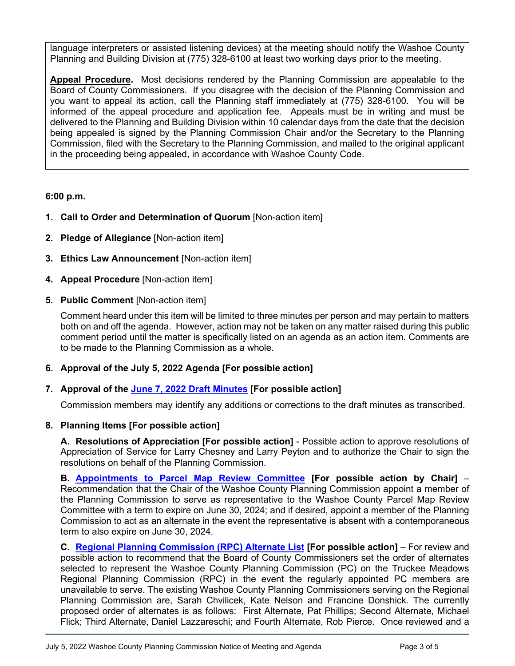language interpreters or assisted listening devices) at the meeting should notify the Washoe County Planning and Building Division at (775) 328-6100 at least two working days prior to the meeting.

**Appeal Procedure.** Most decisions rendered by the Planning Commission are appealable to the Board of County Commissioners. If you disagree with the decision of the Planning Commission and you want to appeal its action, call the Planning staff immediately at (775) 328-6100. You will be informed of the appeal procedure and application fee. Appeals must be in writing and must be delivered to the Planning and Building Division within 10 calendar days from the date that the decision being appealed is signed by the Planning Commission Chair and/or the Secretary to the Planning Commission, filed with the Secretary to the Planning Commission, and mailed to the original applicant in the proceeding being appealed, in accordance with Washoe County Code.

## **6:00 p.m.**

- **1. Call to Order and Determination of Quorum** [Non-action item]
- **2. Pledge of Allegiance** [Non-action item]
- **3. Ethics Law Announcement** [Non-action item]
- **4. Appeal Procedure** [Non-action item]
- **5. Public Comment** [Non-action item]

Comment heard under this item will be limited to three minutes per person and may pertain to matters both on and off the agenda. However, action may not be taken on any matter raised during this public comment period until the matter is specifically listed on an agenda as an action item. Comments are to be made to the Planning Commission as a whole.

**6. Approval of the July 5, 2022 Agenda [For possible action]**

# **7. Approval of the [June 7, 2022 Draft Minutes](https://www.washoecounty.gov/csd/planning_and_development/board_commission/planning_commission/2022/Files/060722-min_draft.pdf) [For possible action]**

Commission members may identify any additions or corrections to the draft minutes as transcribed.

# **8. Planning Items [For possible action]**

**A. Resolutions of Appreciation [For possible action]** - Possible action to approve resolutions of Appreciation of Service for Larry Chesney and Larry Peyton and to authorize the Chair to sign the resolutions on behalf of the Planning Commission.

**B. [Appointments to Parcel Map Review Committee](https://www.washoecounty.gov/csd/planning_and_development/board_commission/planning_commission/2022/Files/8B_PC.PMRC.Appointment_sr.pdf) [For possible action by Chair]** – Recommendation that the Chair of the Washoe County Planning Commission appoint a member of the Planning Commission to serve as representative to the Washoe County Parcel Map Review Committee with a term to expire on June 30, 2024; and if desired, appoint a member of the Planning Commission to act as an alternate in the event the representative is absent with a contemporaneous term to also expire on June 30, 2024.

**C. [Regional Planning Commission \(RPC\) Alternate List](https://www.washoecounty.gov/csd/planning_and_development/board_commission/planning_commission/2022/Files/PC_RPC.AlternateList_sr.pdf) [For possible action]** – For review and possible action to recommend that the Board of County Commissioners set the order of alternates selected to represent the Washoe County Planning Commission (PC) on the Truckee Meadows Regional Planning Commission (RPC) in the event the regularly appointed PC members are unavailable to serve. The existing Washoe County Planning Commissioners serving on the Regional Planning Commission are, Sarah Chvilicek, Kate Nelson and Francine Donshick. The currently proposed order of alternates is as follows: First Alternate, Pat Phillips; Second Alternate, Michael Flick; Third Alternate, Daniel Lazzareschi; and Fourth Alternate, Rob Pierce. Once reviewed and a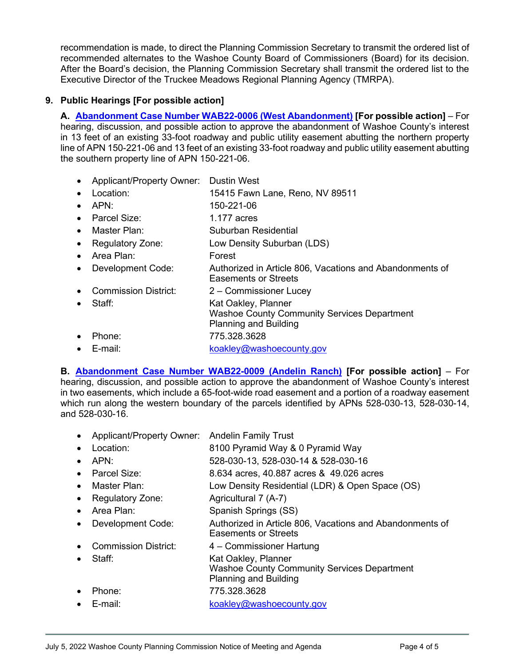recommendation is made, to direct the Planning Commission Secretary to transmit the ordered list of recommended alternates to the Washoe County Board of Commissioners (Board) for its decision. After the Board's decision, the Planning Commission Secretary shall transmit the ordered list to the Executive Director of the Truckee Meadows Regional Planning Agency (TMRPA).

## **9. Public Hearings [For possible action]**

**A. [Abandonment Case Number WAB22-0006 \(West Abandonment\)](https://www.washoecounty.gov/csd/planning_and_development/board_commission/planning_commission/2022/Files/WAB22-0006sr-updated.pdf) [For possible action]** – For hearing, discussion, and possible action to approve the abandonment of Washoe County's interest in 13 feet of an existing 33-foot roadway and public utility easement abutting the northern property line of APN 150-221-06 and 13 feet of an existing 33-foot roadway and public utility easement abutting the southern property line of APN 150-221-06.

- Applicant/Property Owner: Dustin West
- Location: 15415 Fawn Lane, Reno, NV 89511
- APN: 150-221-06
- Parcel Size: 1.177 acres
- Master Plan: Suburban Residential
- Regulatory Zone: Low Density Suburban (LDS)
- Area Plan: Forest
- Development Code: Authorized in Article 806, Vacations and Abandonments of Easements or Streets
- Commission District: 2 Commissioner Lucey
- Staff: Kat Oakley, Planner Washoe County Community Services Department Planning and Building • Phone: 775.328.3628
- E-mail: [koakley@washoecounty.gov](mailto:koakley@washoecounty.gov)

**B. [Abandonment Case Number WAB22-0009 \(Andelin Ranch\)](https://www.washoecounty.gov/csd/planning_and_development/board_commission/planning_commission/2022/Files/WAB22-0009sr.pdf) [For possible action]** – For hearing, discussion, and possible action to approve the abandonment of Washoe County's interest in two easements, which include a 65-foot-wide road easement and a portion of a roadway easement which run along the western boundary of the parcels identified by APNs 528-030-13, 528-030-14, and 528-030-16.

- Applicant/Property Owner: Andelin Family Trust
- Location: 8100 Pyramid Way & 0 Pyramid Way
- APN: 528-030-13, 528-030-14 & 528-030-16
- Parcel Size: 8.634 acres, 40.887 acres & 49.026 acres
- Master Plan: Low Density Residential (LDR) & Open Space (OS)
- Regulatory Zone: Agricultural 7 (A-7)
- Area Plan: Spanish Springs (SS)
- Development Code: Authorized in Article 806, Vacations and Abandonments of Easements or Streets
- Commission District: 4 Commissioner Hartung
- 
- Staff: Kat Oakley, Planner
	- Washoe County Community Services Department Planning and Building
	-
- Phone: 775.328.3628
- E-mail: [koakley@washoecounty.gov](mailto:koakley@washoecounty.gov)